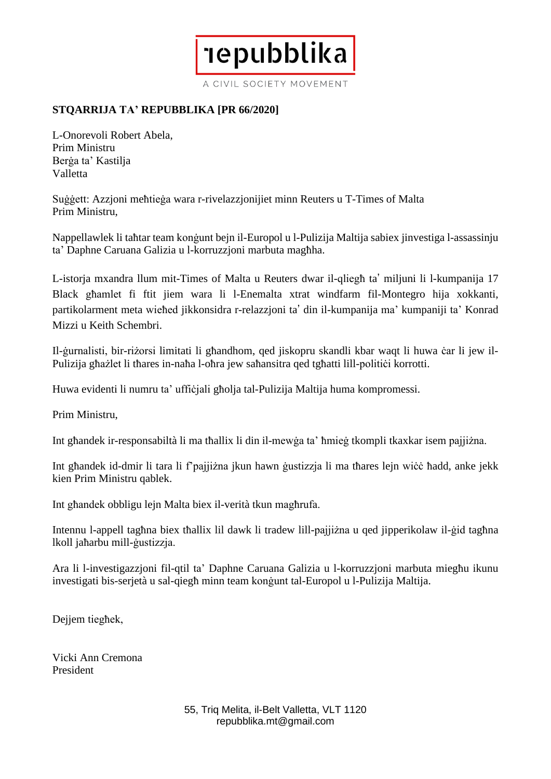A CIVIL SOCIETY MOVEMENT

**Tepubblika** 

## **STQARRIJA TA' REPUBBLIKA [PR 66/2020]**

L-Onorevoli Robert Abela, Prim Ministru Berġa ta' Kastilja Valletta

Suġġett: Azzjoni meħtieġa wara r-rivelazzjonijiet minn Reuters u T-Times of Malta Prim Ministru,

Nappellawlek li taħtar team konġunt bejn il-Europol u l-Pulizija Maltija sabiex jinvestiga l-assassinju ta' Daphne Caruana Galizia u l-korruzzjoni marbuta magħha.

L-istorja mxandra llum mit-Times of Malta u Reuters dwar il-qliegħ ta' miljuni li l-kumpanija 17 Black għamlet fi ftit jiem wara li l-Enemalta xtrat windfarm fil-Montegro hija xokkanti, partikolarment meta wieħed jikkonsidra r-relazzjoni ta' din il-kumpanija ma' kumpaniji ta' Konrad Mizzi u Keith Schembri.

Il-ġurnalisti, bir-riżorsi limitati li għandhom, qed jiskopru skandli kbar waqt li huwa ċar li jew il-Pulizija għażlet li tħares in-naħa l-oħra jew saħansitra qed tgħatti lill-politiċi korrotti.

Huwa evidenti li numru ta' ufficjali għolja tal-Pulizija Maltija huma kompromessi.

Prim Ministru,

Int għandek ir-responsabiltà li ma tħallix li din il-mewġa ta' ħmieġ tkompli tkaxkar isem pajjiżna.

Int għandek id-dmir li tara li f'pajjiżna jkun hawn ġustizzja li ma tħares lejn wiċċ ħadd, anke jekk kien Prim Ministru qablek.

Int għandek obbligu lejn Malta biex il-verità tkun magħrufa.

Intennu l-appell tagħna biex tħallix lil dawk li tradew lill-pajjiżna u qed jipperikolaw il-ġid tagħna lkoll jaħarbu mill-ġustizzja.

Ara li l-investigazzjoni fil-qtil ta' Daphne Caruana Galizia u l-korruzzjoni marbuta miegħu ikunu investigati bis-serjetà u sal-qiegħ minn team konġunt tal-Europol u l-Pulizija Maltija.

Dejjem tiegħek,

Vicki Ann Cremona President

> 55, Triq Melita, il-Belt Valletta, VLT 1120 repubblika.mt@gmail.com